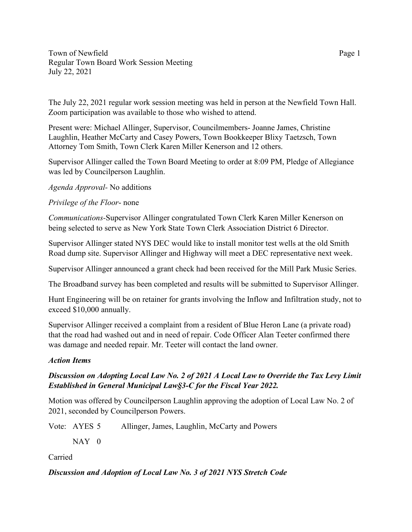Town of Newfield Page 1 Regular Town Board Work Session Meeting July 22, 2021

The July 22, 2021 regular work session meeting was held in person at the Newfield Town Hall. Zoom participation was available to those who wished to attend.

Present were: Michael Allinger, Supervisor, Councilmembers- Joanne James, Christine Laughlin, Heather McCarty and Casey Powers, Town Bookkeeper Blixy Taetzsch, Town Attorney Tom Smith, Town Clerk Karen Miller Kenerson and 12 others.

Supervisor Allinger called the Town Board Meeting to order at 8:09 PM, Pledge of Allegiance was led by Councilperson Laughlin.

*Agenda Approval-* No additions

# *Privilege of the Floor*- none

*Communications-*Supervisor Allinger congratulated Town Clerk Karen Miller Kenerson on being selected to serve as New York State Town Clerk Association District 6 Director.

Supervisor Allinger stated NYS DEC would like to install monitor test wells at the old Smith Road dump site. Supervisor Allinger and Highway will meet a DEC representative next week.

Supervisor Allinger announced a grant check had been received for the Mill Park Music Series.

The Broadband survey has been completed and results will be submitted to Supervisor Allinger.

Hunt Engineering will be on retainer for grants involving the Inflow and Infiltration study, not to exceed \$10,000 annually.

Supervisor Allinger received a complaint from a resident of Blue Heron Lane (a private road) that the road had washed out and in need of repair. Code Officer Alan Teeter confirmed there was damage and needed repair. Mr. Teeter will contact the land owner.

# *Action Items*

# *Discussion on Adopting Local Law No. 2 of 2021 A Local Law to Override the Tax Levy Limit Established in General Municipal Law§3-C for the Fiscal Year 2022.*

Motion was offered by Councilperson Laughlin approving the adoption of Local Law No. 2 of 2021, seconded by Councilperson Powers.

Vote: AYES 5 Allinger, James, Laughlin, McCarty and Powers

 $NAY$  0

Carried

# *Discussion and Adoption of Local Law No. 3 of 2021 NYS Stretch Code*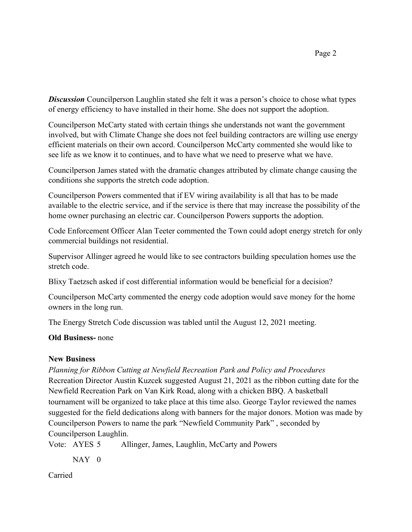**Discussion** Councilperson Laughlin stated she felt it was a person's choice to chose what types of energy efficiency to have installed in their home. She does not support the adoption.

Councilperson McCarty stated with certain things she understands not want the government involved, but with Climate Change she does not feel building contractors are willing use energy efficient materials on their own accord. Councilperson McCarty commented she would like to see life as we know it to continues, and to have what we need to preserve what we have.

Councilperson James stated with the dramatic changes attributed by climate change causing the conditions she supports the stretch code adoption.

Councilperson Powers commented that if EV wiring availability is all that has to be made available to the electric service, and if the service is there that may increase the possibility of the home owner purchasing an electric car. Councilperson Powers supports the adoption.

Code Enforcement Officer Alan Teeter commented the Town could adopt energy stretch for only commercial buildings not residential.

Supervisor Allinger agreed he would like to see contractors building speculation homes use the stretch code.

Blixy Taetzsch asked if cost differential information would be beneficial for a decision?

Councilperson McCarty commented the energy code adoption would save money for the home owners in the long run.

The Energy Stretch Code discussion was tabled until the August 12, 2021 meeting.

## **Old Business-** none

## **New Business**

*Planning for Ribbon Cutting at Newfield Recreation Park and Policy and Procedures*

Recreation Director Austin Kuzcek suggested August 21, 2021 as the ribbon cutting date for the Newfield Recreation Park on Van Kirk Road, along with a chicken BBQ. A basketball tournament will be organized to take place at this time also. George Taylor reviewed the names suggested for the field dedications along with banners for the major donors. Motion was made by Councilperson Powers to name the park "Newfield Community Park" , seconded by Councilperson Laughlin.

Vote: AYES 5 Allinger, James, Laughlin, McCarty and Powers

 $NAY$  0

Carried